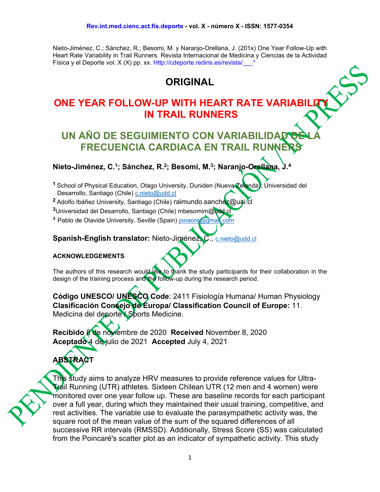Nieto-Jiménez, C.; Sánchez, R.; Besomi, M. y Naranjo-Orellana, J. (201x) One Year Follow-Up with Heart Rate Variability in Trail Runners. Revista Internacional de Medicina y Ciencias de la Actividad Física y el Deporte vol. X (X) pp. xx. Http://cdeporte.rediris.es/revista/\_\_\_\*

# **ORIGINAL**

# **ONE YEAR FOLLOW-UP WITH HEART RATE VARIABILIT IN TRAIL RUNNERS**

# **UN AÑO DE SEGUIMIENTO CON VARIA FRECUENCIA CARDIACA EN TRAIL RUN**

**Nieto-Jiménez, C.1; Sánchez, R.2; Besomi, M. 3; Naranjo-Orellana, J. 4**

<sup>1</sup> School of Physical Education, Otago University, Duniden (Nueva Zelanda); Universidad del Desarrollo, Santiago (Chile) [c.nieto@udd.cl](about:blank)

- <sup>2</sup> Adolfo Ibáñez University, Santiago (Chile) raimundo.sanchez@uai.cl
- **<sup>3</sup>**Universidad del Desarrollo, Santiago (Chile) mbesomim@udd.cl

<sup>4</sup> Pablo de Olavide University. Seville (Spain) jonaore@gmal.com

**Spanish-English translator:** Nieto-Jiménez, C., [c.nieto@udd.cl](about:blank)

#### **ACKNOWLEDGEMENTS**

The authors of this research would like to thank the study participants for their collaboration in the design of the training process and the follow-up during the research period.

**Código UNESCO/ UNESCO Code**: 2411 Fisiología Humana/ Human Physiology **Clasificación Consejo de Europa/ Classification Council of Europe:** 11. Medicina del deporte / Sports Medicine.

**Recibido** 8 de noviembre de 2020 **Received** November 8, 2020 **Aceptado** 4 de julio de 2021 **Accepted** July 4, 2021

# **ABSTRACT**

This study aims to analyze HRV measures to provide reference values for Ultra-Trail Running (UTR) athletes. Sixteen Chilean UTR (12 men and 4 women) were monitored over one year follow up. These are baseline records for each participant over a full year, during which they maintained their usual training, competitive, and rest activities. The variable use to evaluate the parasympathetic activity was, the square root of the mean value of the sum of the squared differences of all successive RR intervals (RMSSD). Additionally, Stress Score (SS) was calculated from the Poincaré's scatter plot as an indicator of sympathetic activity. This study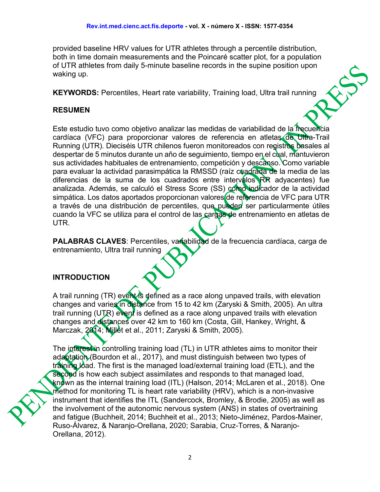provided baseline HRV values for UTR athletes through a percentile distribution, both in time domain measurements and the Poincaré scatter plot, for a population of UTR athletes from daily 5-minute baseline records in the supine position upon waking up.

**KEYWORDS:** Percentiles, Heart rate variability, Training load, Ultra trail running

#### **RESUMEN**

Este estudio tuvo como objetivo analizar las medidas de variabilidad de la frecuencia cardíaca (VFC) para proporcionar valores de referencia en atletas de Ultra-Trail Running (UTR). Dieciséis UTR chilenos fueron monitoreados con registros basales al despertar de 5 minutos durante un año de seguimiento, tiempo en el cual, mantuvieron sus actividades habituales de entrenamiento, competición y descanso. Como variable para evaluar la actividad parasimpática la RMSSD (raíz cuadrada de la media de las diferencias de la suma de los cuadrados entre intervalos RR adyacentes) fue analizada. Además, se calculó el Stress Score (SS) como indicador de la actividad simpática. Los datos aportados proporcionan valores de referencia de VFC para UTR a través de una distribución de percentiles, que pueden ser particularmente útiles cuando la VFC se utiliza para el control de las cargas de entrenamiento en atletas de UTR.

PALABRAS CLAVES: Percentiles, variabilidad de la frecuencia cardíaca, carga de entrenamiento, Ultra trail running

#### **INTRODUCTION**

A trail running (TR) event is defined as a race along unpaved trails, with elevation changes and varies in distance from 15 to 42 km (Zaryski & Smith, 2005). An ultra trail running (UTR) event is defined as a race along unpaved trails with elevation changes and distances over 42 km to 160 km (Costa, Gill, Hankey, Wright, & Marczak, 2014; Millet et al., 2011; Zaryski & Smith, 2005).

The interest in controlling training load (TL) in UTR athletes aims to monitor their adaptation (Bourdon et al., 2017), and must distinguish between two types of training Joad. The first is the managed load/external training load (ETL), and the second is how each subject assimilates and responds to that managed load, known as the internal training load (ITL) (Halson, 2014; McLaren et al., 2018). One method for monitoring TL is heart rate variability (HRV), which is a non-invasive instrument that identifies the ITL (Sandercock, Bromley, & Brodie, 2005) as well as the involvement of the autonomic nervous system (ANS) in states of overtraining and fatigue (Buchheit, 2014; Buchheit et al., 2013; Nieto-Jiménez, Pardos-Mainer, Ruso-Álvarez, & Naranjo-Orellana, 2020; Sarabia, Cruz-Torres, & Naranjo-Orellana, 2012).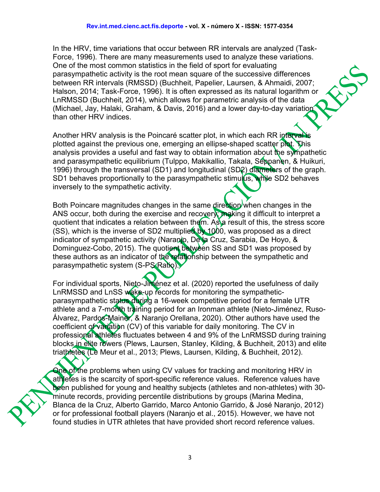In the HRV, time variations that occur between RR intervals are analyzed (Task-Force, 1996). There are many measurements used to analyze these variations. One of the most common statistics in the field of sport for evaluating parasympathetic activity is the root mean square of the successive differences between RR intervals (RMSSD) (Buchheit, Papelier, Laursen, & Ahmaidi, 2007; Halson, 2014; Task-Force, 1996). It is often expressed as its natural logarithm or LnRMSSD (Buchheit, 2014), which allows for parametric analysis of the data (Michael, Jay, Halaki, Graham, & Davis, 2016) and a lower day-to-day variation than other HRV indices.

Another HRV analysis is the Poincaré scatter plot, in which each RR interval is plotted against the previous one, emerging an ellipse-shaped scatter plot. This analysis provides a useful and fast way to obtain information about the sympathetic and parasympathetic equilibrium (Tulppo, Makikallio, Takala, Seppanen, & Huikuri, 1996) through the transversal (SD1) and longitudinal (SD2) diameters of the graph. SD1 behaves proportionally to the parasympathetic stimulus, while SD2 behaves inversely to the sympathetic activity.

Both Poincare magnitudes changes in the same direction when changes in the ANS occur, both during the exercise and recovery; making it difficult to interpret a quotient that indicates a relation between them. As a result of this, the stress score  $(SS)$ , which is the inverse of SD2 multiplied by 1000, was proposed as a direct indicator of sympathetic activity (Naranjo, De la Cruz, Sarabia, De Hoyo, & Dominguez-Cobo, 2015). The quotient between SS and SD1 was proposed by these authors as an indicator of the relationship between the sympathetic and parasympathetic system (S-PS Ratio).

For individual sports, Nieto-Jiménez et al. (2020) reported the usefulness of daily LnRMSSD and LnSS wake-up records for monitoring the sympatheticparasympathetic status during a 16-week competitive period for a female UTR athlete and a 7-month training period for an Ironman athlete (Nieto-Jiménez, Ruso-Álvarez, Pardos-Mainer, & Naranjo Orellana, 2020). Other authors have used the coefficient of variation (CV) of this variable for daily monitoring. The CV in professional athletes fluctuates between 4 and 9% of the LnRMSSD during training blocks in elite rowers (Plews, Laursen, Stanley, Kilding, & Buchheit, 2013) and elite triathletes (Le Meur et al., 2013; Plews, Laursen, Kilding, & Buchheit, 2012).

One of the problems when using CV values for tracking and monitoring HRV in athletes is the scarcity of sport-specific reference values. Reference values have been published for young and healthy subjects (athletes and non-athletes) with 30 minute records, providing percentile distributions by groups (Marina Medina, Blanca de la Cruz, Alberto Garrido, Marco Antonio Garrido, & José Naranjo, 2012) or for professional football players (Naranjo et al., 2015). However, we have not found studies in UTR athletes that have provided short record reference values.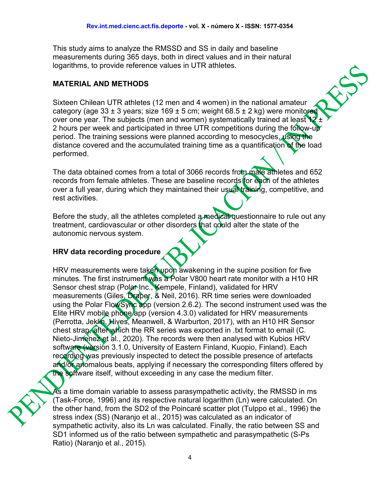This study aims to analyze the RMSSD and SS in daily and baseline measurements during 365 days, both in direct values and in their natural logarithms, to provide reference values in UTR athletes.

#### **MATERIAL AND METHODS**

Sixteen Chilean UTR athletes (12 men and 4 women) in the national amateur category (age  $33 \pm 3$  years; size  $169 \pm 5$  cm; weight  $68.5 \pm 2$  kg) were monitored over one year. The subjects (men and women) systematically trained at least  $12 +$ 2 hours per week and participated in three UTR competitions during the follow-up period. The training sessions were planned according to mesocycles, using the distance covered and the accumulated training time as a quantification of the load performed.

The data obtained comes from a total of 3066 records from male athletes and 652 records from female athletes. These are baseline records for each of the athletes over a full year, during which they maintained their usual training, competitive, and rest activities.

Before the study, all the athletes completed a medical questionnaire to rule out any treatment, cardiovascular or other disorders that could alter the state of the autonomic nervous system.

#### **HRV data recording procedure**

HRV measurements were taken upon awakening in the supine position for five minutes. The first instrument was a Polar V800 heart rate monitor with a H10 HR Sensor chest strap (Polar Inc., Kempele, Finland), validated for HRV measurements (Giles, Draper, & Neil, 2016). RR time series were downloaded using the Polar FlowSync app (version 2.6.2). The second instrument used was the Elite HRV mobile phone app (version 4.3.0) validated for HRV measurements (Perrotta, Jeklin, Hives, Meanwell, & Warburton, 2017), with an H10 HR Sensor chest strap, after which the RR series was exported in .txt format to email (C. Nieto-Jimenez et al., 2020). The records were then analysed with Kubios HRV software (versión 3.1.0, University of Eastern Finland, Kuopio, Finland). Each recording was previously inspected to detect the possible presence of artefacts and/or anomalous beats, applying if necessary the corresponding filters offered by the software itself, without exceeding in any case the medium filter.

As a time domain variable to assess parasympathetic activity, the RMSSD in ms (Task-Force, 1996) and its respective natural logarithm (Ln) were calculated. On the other hand, from the SD2 of the Poincaré scatter plot (Tulppo et al., 1996) the stress index (SS) (Naranjo et al., 2015) was calculated as an indicator of sympathetic activity, also its Ln was calculated. Finally, the ratio between SS and SD1 informed us of the ratio between sympathetic and parasympathetic (S-Ps Ratio) (Naranjo et al., 2015).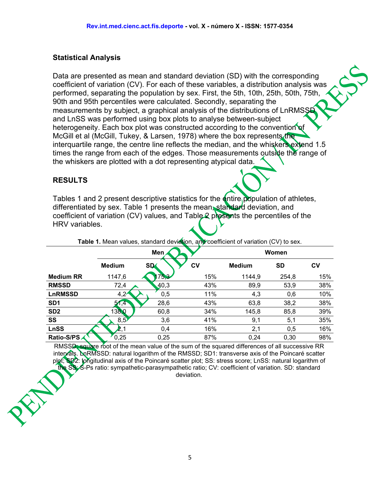#### **Statistical Analysis**

Data are presented as mean and standard deviation (SD) with the corresponding coefficient of variation (CV). For each of these variables, a distribution analysis was performed, separating the population by sex. First, the 5th, 10th, 25th, 50th, 75th, 90th and 95th percentiles were calculated. Secondly, separating the measurements by subject, a graphical analysis of the distributions of LnRMSS and LnSS was performed using box plots to analyse between-subject heterogeneity. Each box plot was constructed according to the convention of McGill et al (McGill, Tukey, & Larsen, 1978) where the box represents the interquartile range, the centre line reflects the median, and the whiskers extend 1.5 times the range from each of the edges. Those measurements outside the range of the whiskers are plotted with a dot representing atypical data.

#### **RESULTS**

Tables 1 and 2 present descriptive statistics for the entire population of athletes, differentiated by sex. Table 1 presents the mean, standard deviation, and coefficient of variation (CV) values, and Table 2 presents the percentiles of the HRV variables.

|                  |               | Men             | Women     |               |           |     |  |
|------------------|---------------|-----------------|-----------|---------------|-----------|-----|--|
|                  | <b>Medium</b> | SD <sub>4</sub> | <b>CV</b> | <b>Medium</b> | <b>SD</b> | CV  |  |
| <b>Medium RR</b> | 1147,6        | 75,3            | 15%       | 1144,9        | 254,8     | 15% |  |
| <b>RMSSD</b>     | 72,4          | 40,3            | 43%       | 89,9          | 53,9      | 38% |  |
| <b>LnRMSSD</b>   | 4,2'          | 0,5             | 11%       | 4,3           | 0,6       | 10% |  |
| SD <sub>1</sub>  | 51,4          | 28,6            | 43%       | 63,8          | 38,2      | 38% |  |
| SD <sub>2</sub>  | 138,0         | 60,8            | 34%       | 145,8         | 85,8      | 39% |  |
| SS               | 8,5'          | 3,6             | 41%       | 9,1           | 5,1       | 35% |  |
| <b>LnSS</b>      |               | 0,4             | 16%       | 2,1           | 0,5       | 16% |  |
| Ratio-S/PS       | 0,25          | 0,25            | 87%       | 0,24          | 0,30      | 98% |  |

Table 1. Mean values, standard deviation, and coefficient of variation (CV) to sex.

RMSSD: square root of the mean value of the sum of the squared differences of all successive RR intervals. LnRMSSD: natural logarithm of the RMSSD; SD1: transverse axis of the Poincaré scatter plot; SD2: longitudinal axis of the Poincaré scatter plot; SS: stress score; LnSS: natural logarithm of the SS; S-Ps ratio: sympathetic-parasympathetic ratio; CV: coefficient of variation. SD: standard deviation.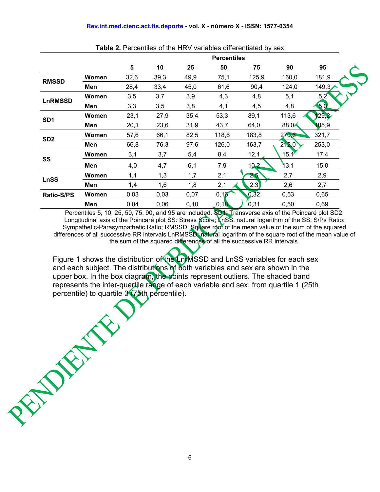|                   |       | <b>Percentiles</b> |      |       |         |       |       |       |  |
|-------------------|-------|--------------------|------|-------|---------|-------|-------|-------|--|
|                   |       | 5                  | 10   | 25    | 50      | 75    | 90    | 95    |  |
| <b>RMSSD</b>      | Women | 32,6               | 39,3 | 49,9  | 75,1    | 125,9 | 160,0 | 181,9 |  |
|                   | Men   | 28,4               | 33,4 | 45,0  | 61,6    | 90,4  | 124,0 | 149,3 |  |
| <b>LnRMSSD</b>    | Women | 3,5                | 3,7  | 3,9   | 4,3     | 4,8   | 5,1   | 5,2   |  |
|                   | Men   | 3,3                | 3,5  | 3,8   | 4,1     | 4,5   | 4,8   | 5.0   |  |
| SD <sub>1</sub>   | Women | 23,1               | 27,9 | 35,4  | 53,3    | 89,1  | 113,6 | 129,2 |  |
|                   | Men   | 20,1               | 23,6 | 31,9  | 43,7    | 64,0  | 88,0  | 105,9 |  |
| SD <sub>2</sub>   | Women | 57,6               | 66,1 | 82,5  | 118,6   | 183,8 | 270,6 | 321,7 |  |
|                   | Men   | 66,8               | 76,3 | 97,6  | 126,0   | 163,7 | 212,0 | 253,0 |  |
| SS                | Women | 3,1                | 3,7  | 5,4   | 8,4     | 12,1  | 15,1  | 17,4  |  |
|                   | Men   | 4,0                | 4,7  | 6,1   | 7,9     | 10.2  | 13,1  | 15,0  |  |
| <b>LnSS</b>       | Women | 1,1                | 1,3  | 1,7   | 2,1     | 2,5   | 2,7   | 2,9   |  |
|                   | Men   | 1,4                | 1,6  | 1,8   | 2,1     | (2,3) | 2,6   | 2,7   |  |
| <b>Ratio-S/PS</b> | Women | 0,03               | 0,03 | 0,07  | 0,16    | 0,32  | 0,53  | 0,65  |  |
|                   | Men   | 0,04               | 0,06 | 0, 10 | [0, 18] | 0,31  | 0,50  | 0,69  |  |

**Table 2.** Percentiles of the HRV variables differentiated by sex

Percentiles 5, 10, 25, 50, 75, 90, and 95 are included. SD1: Transverse axis of the Poincaré plot SD2: Longitudinal axis of the Poincaré plot SS: Stress Score; LnSS: natural logarithm of the SS; S/Ps Ratio: Sympathetic-Parasympathetic Ratio; RMSSD: Square root of the mean value of the sum of the squared differences of all successive RR intervals LnRMSSD: natural logarithm of the square root of the mean value of the sum of the squared differences of all the successive RR intervals.

Figure 1 shows the distribution of the LnrMSSD and LnSS variables for each sex and each subject. The distributions of both variables and sex are shown in the upper box. In the box diagram, the points represent outliers. The shaded band represents the inter-quartile range of each variable and sex, from quartile 1 (25th percentile) to quartile 3 (75th percentile). percentile) to quartile 3 (75th percentile).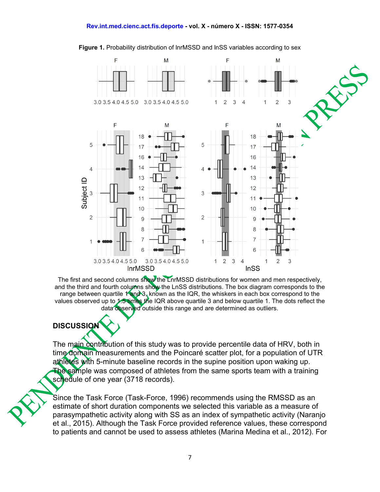#### **Rev.int.med.cienc.act.fís.deporte - vol. X - número X - ISSN: 1577-0354**



#### **Figure 1.** Probability distribution of lnrMSSD and lnSS variables according to sex

The first and second columns show the LnrMSSD distributions for women and men respectively, and the third and fourth columns show the LnSS distributions. The box diagram corresponds to the range between quartile  $1$  and  $3$ , known as the IQR, the whiskers in each box correspond to the values observed up to 1.5 times the IQR above quartile 3 and below quartile 1. The dots reflect the data observed outside this range and are determined as outliers.

#### **DISCUSSION**

The main contribution of this study was to provide percentile data of HRV, both in time domain measurements and the Poincaré scatter plot, for a population of UTR athletes with 5-minute baseline records in the supine position upon waking up. The sample was composed of athletes from the same sports team with a training schedule of one year (3718 records).

Since the Task Force (Task-Force, 1996) recommends using the RMSSD as an estimate of short duration components we selected this variable as a measure of parasympathetic activity along with SS as an index of sympathetic activity (Naranjo et al., 2015). Although the Task Force provided reference values, these correspond to patients and cannot be used to assess athletes (Marina Medina et al., 2012). For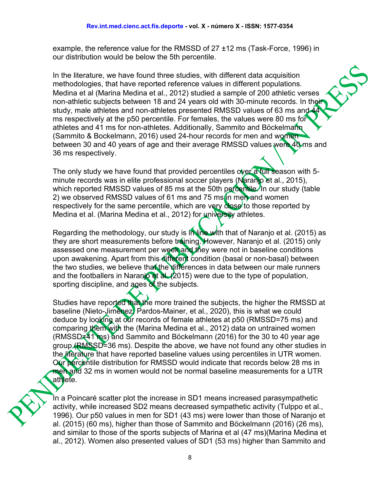example, the reference value for the RMSSD of 27 ±12 ms (Task-Force, 1996) in our distribution would be below the 5th percentile.

In the literature, we have found three studies, with different data acquisition methodologies, that have reported reference values in different populations. Medina et al (Marina Medina et al., 2012) studied a sample of 200 athletic verses non-athletic subjects between 18 and 24 years old with 30-minute records. In their study, male athletes and non-athletes presented RMSSD values of 63 ms and ms respectively at the p50 percentile. For females, the values were 80 ms for athletes and 41 ms for non-athletes. Additionally, Sammito and Böckelmann (Sammito & Bockelmann, 2016) used 24-hour records for men and women between 30 and 40 years of age and their average RMSSD values were 40 ms and 36 ms respectively.

The only study we have found that provided percentiles over a full season with 5minute records was in elite professional soccer players (Naranjo et al., 2015), which reported RMSSD values of 85 ms at the 50th percentile. In our study (table 2) we observed RMSSD values of 61 ms and 75 ms in men and women respectively for the same percentile, which are very close to those reported by Medina et al. (Marina Medina et al., 2012) for university athletes.

Regarding the methodology, our study is in line with that of Naranjo et al. (2015) as they are short measurements before training. However, Naranjo et al. (2015) only assessed one measurement per week and they were not in baseline conditions upon awakening. Apart from this different condition (basal or non-basal) between the two studies, we believe that the differences in data between our male runners and the footballers in Naranjo et al. (2015) were due to the type of population, sporting discipline, and ages of the subjects.

Studies have reported that the more trained the subjects, the higher the RMSSD at baseline (Nieto-Jiménez, Pardos-Mainer, et al., 2020), this is what we could deduce by looking at our records of female athletes at p50 (RMSSD=75 ms) and comparing them with the (Marina Medina et al., 2012) data on untrained women (RMSSD $\neq$ 41 ms) and Sammito and Böckelmann (2016) for the 30 to 40 year age group (RMSSD=36 ms). Despite the above, we have not found any other studies in the literature that have reported baseline values using percentiles in UTR women. Our percentile distribution for RMSSD would indicate that records below 28 ms in men and 32 ms in women would not be normal baseline measurements for a UTR athlete.

In a Poincaré scatter plot the increase in SD1 means increased parasympathetic activity, while increased SD2 means decreased sympathetic activity (Tulppo et al., 1996). Our p50 values in men for SD1 (43 ms) were lower than those of Naranjo et al. (2015) (60 ms), higher than those of Sammito and Böckelmann (2016) (26 ms), and similar to those of the sports subjects of Marina et al (47 ms)(Marina Medina et al., 2012). Women also presented values of SD1 (53 ms) higher than Sammito and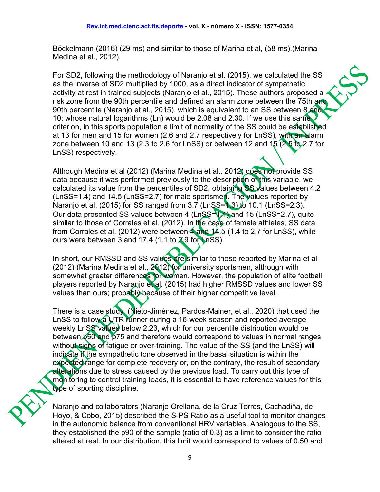Böckelmann (2016) (29 ms) and similar to those of Marina et al, (58 ms).(Marina Medina et al., 2012).

For SD2, following the methodology of Naranjo et al. (2015), we calculated the SS as the inverse of SD2 multiplied by 1000, as a direct indicator of sympathetic activity at rest in trained subjects (Naranjo et al., 2015). These authors proposed a risk zone from the 90th percentile and defined an alarm zone between the 75th and 90th percentile (Naranio et al., 2015), which is equivalent to an SS between 8 and 10; whose natural logarithms (Ln) would be 2.08 and 2.30. If we use this same criterion, in this sports population a limit of normality of the SS could be established at 13 for men and 15 for women (2.6 and 2.7 respectively for LnSS), with an alarm zone between 10 and 13 (2.3 to 2.6 for LnSS) or between 12 and 15  $(2.5 \text{ to } 2.7 \text{ for } 1.5 \text{ to } 2.7 \text{ for } 1.5 \text{ to } 2.7 \text{ for } 1.5 \text{ to } 2.7 \text{ for } 1.5 \text{ for } 1.5 \text{ for } 1.5 \text{ for } 1.5 \text{ for } 1.5 \text{ for } 1.5 \text{ for } 1.5 \text{ for } 1.5 \text{ for } 1.5 \text{ for }$ LnSS) respectively.

Although Medina et al (2012) (Marina Medina et al., 2012) does not provide SS data because it was performed previously to the description of this variable, we calculated its value from the percentiles of SD2, obtaining SS values between 4.2 (LnSS=1.4) and 14.5 (LnSS=2.7) for male sportsmen. The values reported by Naranjo et al. (2015) for SS ranged from 3.7 (LnSS=1.3) to 10.1 (LnSS=2.3). Our data presented SS values between 4 (LnSS=1.4) and 15 (LnSS=2.7), quite similar to those of Corrales et al. (2012). In the case of female athletes, SS data from Corrales et al. (2012) were between  $4$  and  $14.5$  (1.4 to 2.7 for LnSS), while ours were between 3 and 17.4 (1.1 to 2.9 for LnSS).

In short, our RMSSD and SS values are similar to those reported by Marina et al (2012) (Marina Medina et al., 2012) for university sportsmen, although with somewhat greater differences for women. However, the population of elite football players reported by Naranjo et al. (2015) had higher RMSSD values and lower SS values than ours; probably because of their higher competitive level.

There is a case study (Nieto-Jiménez, Pardos-Mainer, et al., 2020) that used the LnSS to follow a UTR runner during a 16-week season and reported average weekly LnSS values below 2.23, which for our percentile distribution would be between  $p50$  and  $p75$  and therefore would correspond to values in normal ranges without signs of fatigue or over-training. The value of the SS (and the LnSS) will indicate if the sympathetic tone observed in the basal situation is within the expected range for complete recovery or, on the contrary, the result of secondary alterations due to stress caused by the previous load. To carry out this type of monitoring to control training loads, it is essential to have reference values for this type of sporting discipline.

Naranjo and collaborators (Naranjo Orellana, de la Cruz Torres, Cachadiña, de Hoyo, & Cobo, 2015) described the S-PS Ratio as a useful tool to monitor changes in the autonomic balance from conventional HRV variables. Analogous to the SS, they established the p90 of the sample (ratio of 0.3) as a limit to consider the ratio altered at rest. In our distribution, this limit would correspond to values of 0.50 and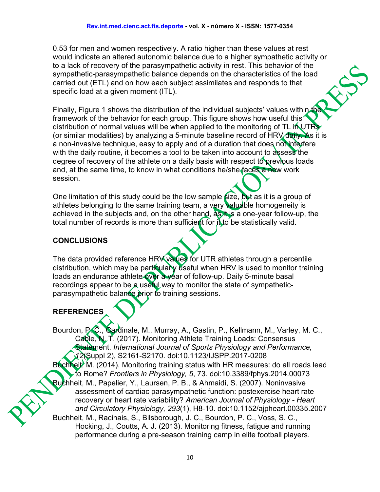0.53 for men and women respectively. A ratio higher than these values at rest would indicate an altered autonomic balance due to a higher sympathetic activity or to a lack of recovery of the parasympathetic activity in rest. This behavior of the sympathetic-parasympathetic balance depends on the characteristics of the load carried out (ETL) and on how each subject assimilates and responds to that specific load at a given moment (ITL).

Finally, Figure 1 shows the distribution of the individual subjects' values within the framework of the behavior for each group. This figure shows how useful this distribution of normal values will be when applied to the monitoring of TL in UTRs (or similar modalities) by analyzing a 5-minute baseline record of  $HRV$  daily. As it is a non-invasive technique, easy to apply and of a duration that does not interfere with the daily routine, it becomes a tool to be taken into account to assess the degree of recovery of the athlete on a daily basis with respect to previous loads and, at the same time, to know in what conditions he/she faces a new work session.

One limitation of this study could be the low sample  $size$ , but as it is a group of athletes belonging to the same training team, a very valuable homogeneity is achieved in the subjects and, on the other hand, as it is a one-year follow-up, the total number of records is more than sufficient for it to be statistically valid.

### **CONCLUSIONS**

The data provided reference HRV values for UTR athletes through a percentile distribution, which may be particularly useful when HRV is used to monitor training loads an endurance athlete over a year of follow-up. Daily 5-minute basal recordings appear to be a useful way to monitor the state of sympatheticparasympathetic balance prior to training sessions.

## **REFERENCES**

Bourdon, P.C., Cardinale, M., Murray, A., Gastin, P., Kellmann, M., Varley, M. C., Cable, N. T. (2017). Monitoring Athlete Training Loads: Consensus Statement. *International Journal of Sports Physiology and Performance, 12*(Suppl 2), S2161-S2170. doi:10.1123/IJSPP.2017-0208 Buchheit, M. (2014). Monitoring training status with HR measures: do all roads lead to Rome? *Frontiers in Physiology, 5*, 73. doi:10.3389/fphys.2014.00073 Buchheit, M., Papelier, Y., Laursen, P. B., & Ahmaidi, S. (2007). Noninvasive assessment of cardiac parasympathetic function: postexercise heart rate recovery or heart rate variability? *American Journal of Physiology - Heart and Circulatory Physiology, 293*(1), H8-10. doi:10.1152/ajpheart.00335.2007 Buchheit, M., Racinais, S., Bilsborough, J. C., Bourdon, P. C., Voss, S. C., Hocking, J., Coutts, A. J. (2013). Monitoring fitness, fatigue and running performance during a pre-season training camp in elite football players.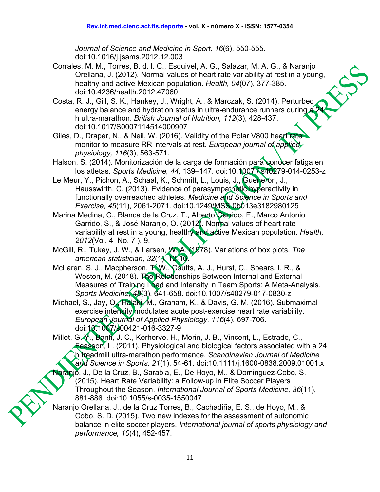*Journal of Science and Medicine in Sport, 16*(6), 550-555. doi:10.1016/j.jsams.2012.12.003

- Corrales, M. M., Torres, B. d. l. C., Esquivel, A. G., Salazar, M. A. G., & Naranjo Orellana, J. (2012). Normal values of heart rate variability at rest in a young, healthy and active Mexican population. *Health, 04*(07), 377-385. doi:10.4236/health.2012.47060
- Costa, R. J., Gill, S. K., Hankey, J., Wright, A., & Marczak, S. (2014). Perturbed energy balance and hydration status in ultra-endurance runners during h ultra-marathon. *British Journal of Nutrition, 112*(3), 428-437. doi:10.1017/S0007114514000907
- Giles, D., Draper, N., & Neil, W. (2016). Validity of the Polar V800 heart rate monitor to measure RR intervals at rest. *European journal of applied physiology, 116*(3), 563-571.
- Halson, S. (2014). Monitorización de la carga de formación para conocer fatiga en los atletas. *Sports Medicine, 44, 139-147. doi:10.1007 Xs40279-014-0253-z*
- Le Meur, Y., Pichon, A., Schaal, K., Schmitt, L., Louis, J., Gueneron, J., Hausswirth, C. (2013). Evidence of parasympathetic hyperactivity in functionally overreached athletes. *Medicine and Science in Sports and Exercise, 45*(11), 2061-2071. doi:10.1249/MSS.0b013e3182980125
- Marina Medina, C., Blanca de la Cruz, T., Alberto Garrido, E., Marco Antonio Garrido, S., & José Naranjo, O. (2012). Normal values of heart rate variability at rest in a young, healthy and active Mexican population. *Health, 2012*(Vol. 4 No. 7 ), 9.
- McGill, R., Tukey, J. W., & Larsen, W. A. (1978). Variations of box plots. *The*  american statistician, 32(1), 12-16.
- McLaren, S. J., Macpherson, T. W., Coutts, A. J., Hurst, C., Spears, I. R., & Weston, M. (2018). The Relationships Between Internal and External Measures of Training Load and Intensity in Team Sports: A Meta-Analysis. *Sports Medicine, 48*(3), 641-658. doi:10.1007/s40279-017-0830-z
- Michael, S., Jay, O., Halaki, M., Graham, K., & Davis, G. M. (2016). Submaximal exercise intensity modulates acute post-exercise heart rate variability. *European Journal of Applied Physiology, 116*(4), 697-706. doi:10.1007/s00421-016-3327-9
- Millet, G. Y., Banff, J. C., Kerherve, H., Morin, J. B., Vincent, L., Estrade, C., Feasson, L. (2011). Physiological and biological factors associated with a 24 h treadmill ultra-marathon performance. *Scandinavian Journal of Medicine and Science in Sports, 21*(1), 54-61. doi:10.1111/j.1600-0838.2009.01001.x
- anjo, J., De la Cruz, B., Sarabia, E., De Hoyo, M., & Dominguez-Cobo, S. (2015). Heart Rate Variability: a Follow-up in Elite Soccer Players Throughout the Season. *International Journal of Sports Medicine, 36*(11), 881-886. doi:10.1055/s-0035-1550047
- Naranjo Orellana, J., de la Cruz Torres, B., Cachadiña, E. S., de Hoyo, M., & Cobo, S. D. (2015). Two new indexes for the assessment of autonomic balance in elite soccer players. *International journal of sports physiology and performance, 10*(4), 452-457.